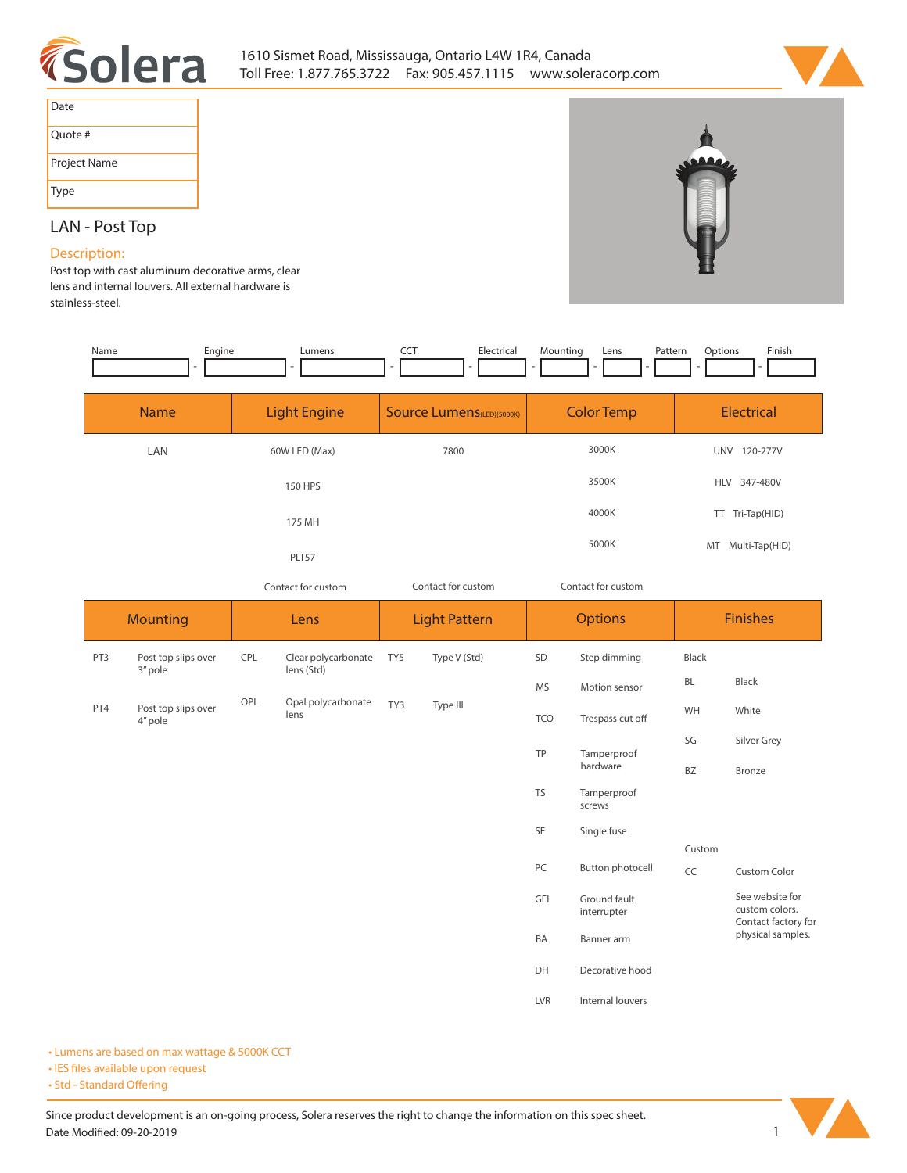



| Date         |
|--------------|
| Quote #      |
| Project Name |
| Type         |

## **LAN - Post Top**

## **Description:**

**Post top with cast aluminum decorative arms, clear lens and internal louvers. All external hardware is stainless-steel.** 

| Name        | Engine | Lumens<br>۰         | Electrical<br><b>CCT</b>          | Mounting<br>Lens  | Finish<br>Options<br>Pattern |
|-------------|--------|---------------------|-----------------------------------|-------------------|------------------------------|
| <b>Name</b> |        | <b>Light Engine</b> | <b>Source Lumens</b> (LED)(5000K) | <b>Color Temp</b> | <b>Electrical</b>            |
| LAN         |        | 60W LED (Max)       | 7800                              | 3000K             | <b>UNV</b><br>120-277V       |
|             |        | <b>150 HPS</b>      |                                   | 3500K             | HLV 347-480V                 |
|             |        | 175 MH              |                                   | 4000K             | Tri-Tap(HID)<br>TT.          |
|             |        | PLT57               |                                   | 5000K             | MT Multi-Tap(HID)            |

*Contact for custom Contact for custom*

*Contact for custom*

| <b>Mounting</b> |                                | Lens |                                   | <b>Light Pattern</b> |              | <b>Options</b> |                             | <b>Finishes</b> |                                                          |
|-----------------|--------------------------------|------|-----------------------------------|----------------------|--------------|----------------|-----------------------------|-----------------|----------------------------------------------------------|
| PT3             | Post top slips over<br>3" pole | CPL  | Clear polycarbonate<br>lens (Std) | TY5                  | Type V (Std) | SD             | Step dimming                | Black           |                                                          |
|                 |                                |      |                                   |                      |              | <b>MS</b>      | Motion sensor               | BL              | Black                                                    |
| PT4             | Post top slips over<br>4" pole | OPL  | Opal polycarbonate<br>lens        | TY3                  | Type III     | <b>TCO</b>     | Trespass cut off            | WH              | White                                                    |
|                 |                                |      |                                   |                      |              | TP             | Tamperproof<br>hardware     | SG              | Silver Grey                                              |
|                 |                                |      |                                   |                      |              |                |                             | BZ              | Bronze                                                   |
|                 |                                |      |                                   |                      |              | <b>TS</b>      | Tamperproof<br>screws       |                 |                                                          |
|                 |                                |      |                                   |                      |              | SF             | Single fuse                 |                 |                                                          |
|                 |                                |      |                                   |                      |              |                |                             | Custom          |                                                          |
|                 |                                |      |                                   |                      |              | PC             | Button photocell            | CC              | <b>Custom Color</b>                                      |
|                 |                                |      |                                   |                      |              | GFI            | Ground fault<br>interrupter |                 | See website for<br>custom colors.<br>Contact factory for |
|                 |                                |      |                                   |                      |              | BA             | Banner arm                  |                 | physical samples.                                        |
|                 |                                |      |                                   |                      |              | DH             | Decorative hood             |                 |                                                          |
|                 |                                |      |                                   |                      |              | LVR            | Internal louvers            |                 |                                                          |

**• Lumens are based on max wattage & 5000K CCT**

**• IES files available upon request** 

• Std - Standard Offering

Since product development is an on-going process, Solera reserves the right to change the information on this spec sheet. **Date Modified: 09-20-2019** 1